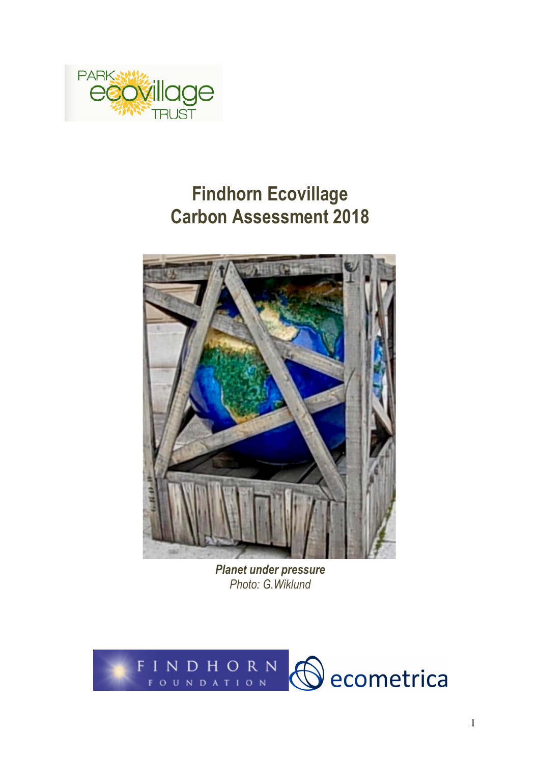

# **Findhorn Ecovillage Carbon Assessment 2018**



*Planet under pressure Photo: G.Wiklund*

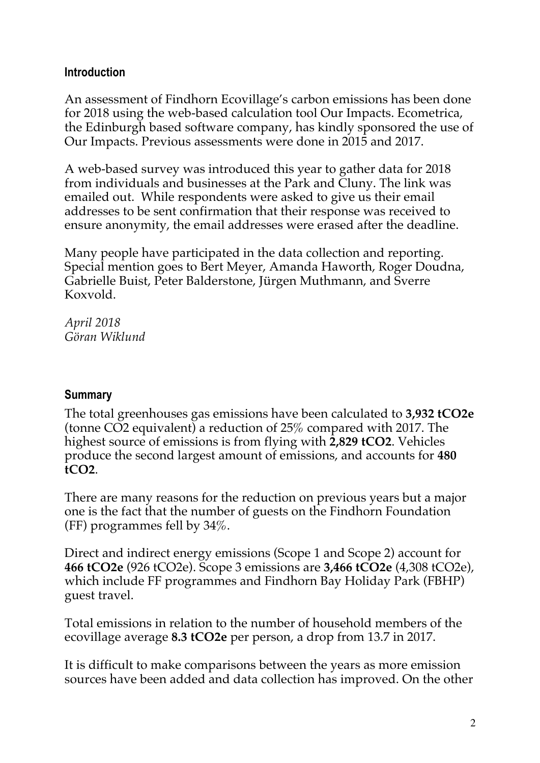#### **Introduction**

An assessment of Findhorn Ecovillage's carbon emissions has been done for 2018 using the web-based calculation tool Our Impacts. Ecometrica, the Edinburgh based software company, has kindly sponsored the use of Our Impacts. Previous assessments were done in 2015 and 2017.

A web-based survey was introduced this year to gather data for 2018 from individuals and businesses at the Park and Cluny. The link was emailed out. While respondents were asked to give us their email addresses to be sent confirmation that their response was received to ensure anonymity, the email addresses were erased after the deadline.

Many people have participated in the data collection and reporting. Special mention goes to Bert Meyer, Amanda Haworth, Roger Doudna, Gabrielle Buist, Peter Balderstone, Jürgen Muthmann, and Sverre Koxvold.

*April 2018 Göran Wiklund*

#### **Summary**

The total greenhouses gas emissions have been calculated to **3,932 tCO2e** (tonne CO2 equivalent) a reduction of 25% compared with 2017. The highest source of emissions is from flying with **2,829 tCO2**. Vehicles produce the second largest amount of emissions, and accounts for **480 tCO2**.

There are many reasons for the reduction on previous years but a major one is the fact that the number of guests on the Findhorn Foundation (FF) programmes fell by 34%.

Direct and indirect energy emissions (Scope 1 and Scope 2) account for **466 tCO2e** (926 tCO2e). Scope 3 emissions are **3,466 tCO2e** (4,308 tCO2e), which include FF programmes and Findhorn Bay Holiday Park (FBHP) guest travel.

Total emissions in relation to the number of household members of the ecovillage average **8.3 tCO2e** per person, a drop from 13.7 in 2017.

It is difficult to make comparisons between the years as more emission sources have been added and data collection has improved. On the other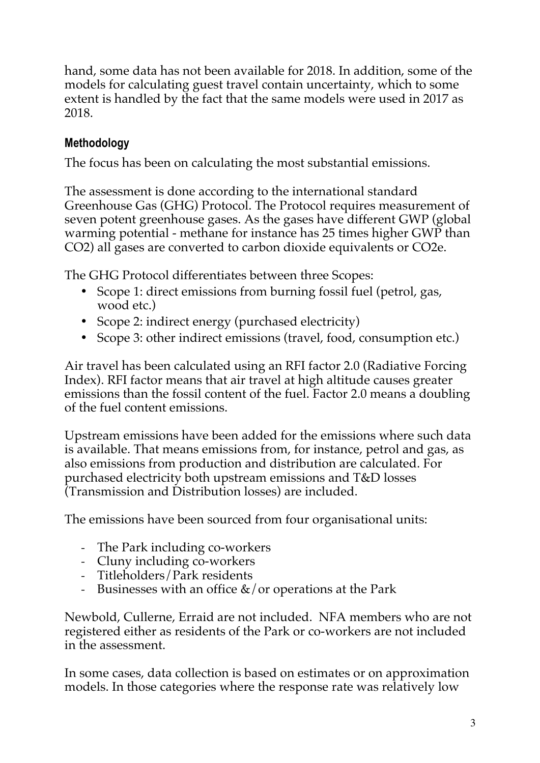hand, some data has not been available for 2018. In addition, some of the models for calculating guest travel contain uncertainty, which to some extent is handled by the fact that the same models were used in 2017 as 2018.

## **Methodology**

The focus has been on calculating the most substantial emissions.

The assessment is done according to the international standard Greenhouse Gas (GHG) Protocol. The Protocol requires measurement of seven potent greenhouse gases. As the gases have different GWP (global warming potential - methane for instance has 25 times higher GWP than CO2) all gases are converted to carbon dioxide equivalents or CO2e.

The GHG Protocol differentiates between three Scopes:

- Scope 1: direct emissions from burning fossil fuel (petrol, gas, wood etc.)
- Scope 2: indirect energy (purchased electricity)
- Scope 3: other indirect emissions (travel, food, consumption etc.)

Air travel has been calculated using an RFI factor 2.0 (Radiative Forcing Index). RFI factor means that air travel at high altitude causes greater emissions than the fossil content of the fuel. Factor 2.0 means a doubling of the fuel content emissions.

Upstream emissions have been added for the emissions where such data is available. That means emissions from, for instance, petrol and gas, as also emissions from production and distribution are calculated. For purchased electricity both upstream emissions and T&D losses (Transmission and Distribution losses) are included.

The emissions have been sourced from four organisational units:

- The Park including co-workers
- Cluny including co-workers
- Titleholders/Park residents
- Businesses with an office  $\&$  / or operations at the Park

Newbold, Cullerne, Erraid are not included. NFA members who are not registered either as residents of the Park or co-workers are not included in the assessment.

In some cases, data collection is based on estimates or on approximation models. In those categories where the response rate was relatively low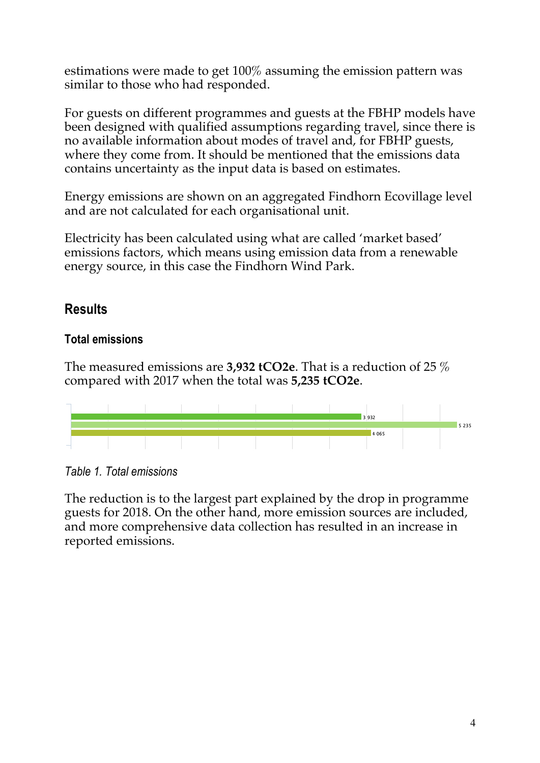estimations were made to get 100% assuming the emission pattern was similar to those who had responded.

For guests on different programmes and guests at the FBHP models have been designed with qualified assumptions regarding travel, since there is no available information about modes of travel and, for FBHP guests, where they come from. It should be mentioned that the emissions data contains uncertainty as the input data is based on estimates.

Energy emissions are shown on an aggregated Findhorn Ecovillage level and are not calculated for each organisational unit.

Electricity has been calculated using what are called 'market based' emissions factors, which means using emission data from a renewable energy source, in this case the Findhorn Wind Park.

# **Results**

### **Total emissions**

The measured emissions are **3,932 tCO2e**. That is a reduction of 25 % compared with 2017 when the total was **5,235 tCO2e**.



*Table 1. Total emissions*

The reduction is to the largest part explained by the drop in programme guests for 2018. On the other hand, more emission sources are included, and more comprehensive data collection has resulted in an increase in reported emissions.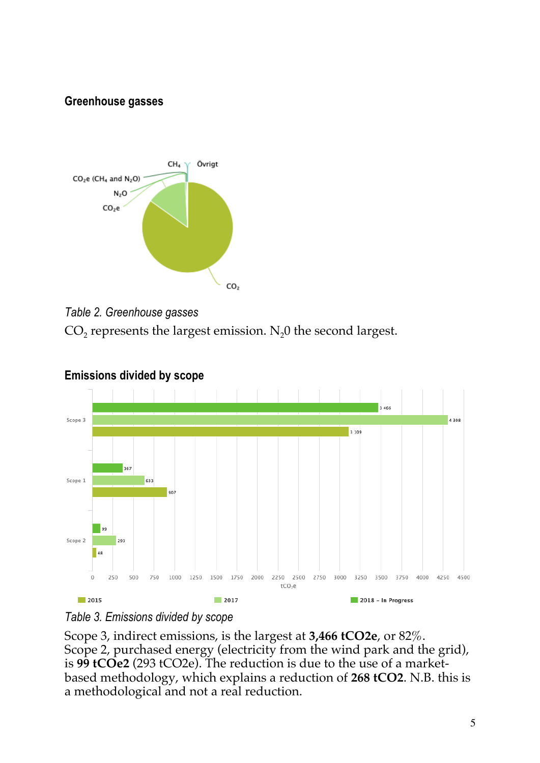#### **Greenhouse gasses**











Scope 3, indirect emissions, is the largest at **3,466 tCO2e**, or 82%. Scope 2, purchased energy (electricity from the wind park and the grid), is **99 tCOe2** (293 tCO2e). The reduction is due to the use of a marketbased methodology, which explains a reduction of **268 tCO2**. N.B. this is a methodological and not a real reduction.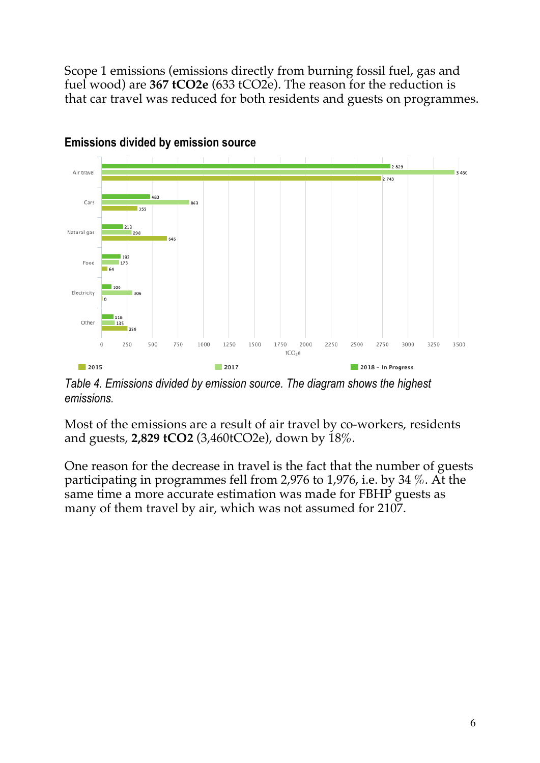Scope 1 emissions (emissions directly from burning fossil fuel, gas and fuel wood) are **367 tCO2e** (633 tCO2e). The reason for the reduction is that car travel was reduced for both residents and guests on programmes.



**Emissions divided by emission source**

*Table 4. Emissions divided by emission source. The diagram shows the highest emissions.*

Most of the emissions are a result of air travel by co-workers, residents and guests, **2,829 tCO2** (3,460tCO2e), down by 18%.

One reason for the decrease in travel is the fact that the number of guests participating in programmes fell from 2,976 to 1,976, i.e. by 34 %. At the same time a more accurate estimation was made for FBHP guests as many of them travel by air, which was not assumed for 2107.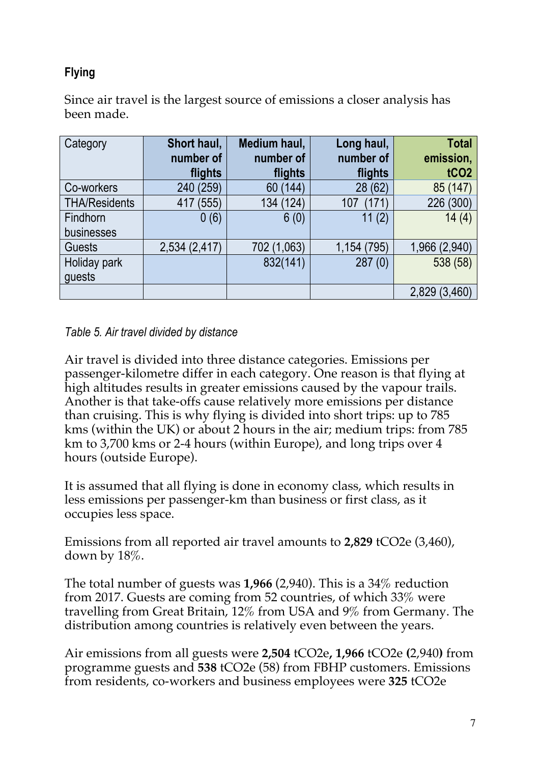## **Flying**

Since air travel is the largest source of emissions a closer analysis has been made.

| Category             | Short haul,   | Medium haul, | Long haul,   | <b>Total</b>     |
|----------------------|---------------|--------------|--------------|------------------|
|                      | number of     | number of    | number of    | emission,        |
|                      | flights       | flights      | flights      | tCO <sub>2</sub> |
| Co-workers           | 240 (259)     | 60 (144)     | (62)<br>28   | 85 (147)         |
| <b>THA/Residents</b> | (555)<br>417  | 134 (124)    | (171)<br>107 | 226 (300)        |
| <b>Findhorn</b>      | 0(6)          | 6(0)         | (2)<br>11    | 14(4)            |
| businesses           |               |              |              |                  |
| <b>Guests</b>        | 2,534 (2,417) | 702 (1,063)  | 1,154 (795)  | 1,966 (2,940)    |
| Holiday park         |               | 832(141)     | 287(0)       | 538 (58)         |
| quests               |               |              |              |                  |
|                      |               |              |              | 2,829 (3,460)    |

#### *Table 5. Air travel divided by distance*

Air travel is divided into three distance categories. Emissions per passenger-kilometre differ in each category. One reason is that flying at high altitudes results in greater emissions caused by the vapour trails. Another is that take-offs cause relatively more emissions per distance than cruising. This is why flying is divided into short trips: up to 785 kms (within the UK) or about 2 hours in the air; medium trips: from 785 km to 3,700 kms or 2-4 hours (within Europe), and long trips over 4 hours (outside Europe).

It is assumed that all flying is done in economy class, which results in less emissions per passenger-km than business or first class, as it occupies less space.

Emissions from all reported air travel amounts to **2,829** tCO2e (3,460), down by 18%.

The total number of guests was **1,966** (2,940). This is a 34% reduction from 2017. Guests are coming from 52 countries, of which 33% were travelling from Great Britain, 12% from USA and 9% from Germany. The distribution among countries is relatively even between the years.

Air emissions from all guests were **2,504** tCO2e**, 1,966** tCO2e **(**2,940**)** from programme guests and **538** tCO2e (58) from FBHP customers. Emissions from residents, co-workers and business employees were **325** tCO2e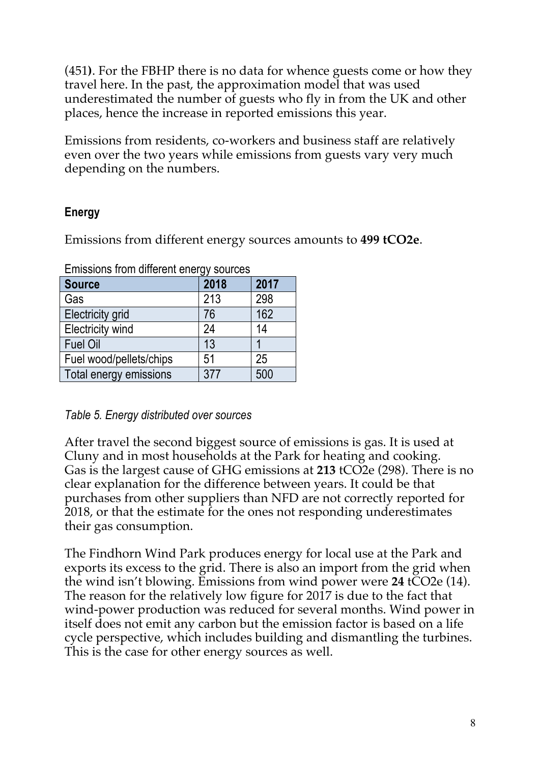(451**)**. For the FBHP there is no data for whence guests come or how they travel here. In the past, the approximation model that was used underestimated the number of guests who fly in from the UK and other places, hence the increase in reported emissions this year.

Emissions from residents, co-workers and business staff are relatively even over the two years while emissions from guests vary very much depending on the numbers.

#### **Energy**

Emissions from different energy sources amounts to **499 tCO2e**.

| <b>Source</b>           | 2018 | 2017 |  |  |
|-------------------------|------|------|--|--|
| Gas                     | 213  | 298  |  |  |
| <b>Electricity grid</b> | 76   | 162  |  |  |
| <b>Electricity wind</b> | 24   | 14   |  |  |
| <b>Fuel Oil</b>         | 13   |      |  |  |
| Fuel wood/pellets/chips | 51   | 25   |  |  |
| Total energy emissions  | 377  | 500  |  |  |

Emissions from different energy sources

#### *Table 5. Energy distributed over sources*

After travel the second biggest source of emissions is gas. It is used at Cluny and in most households at the Park for heating and cooking. Gas is the largest cause of GHG emissions at **213** tCO2e (298). There is no clear explanation for the difference between years. It could be that purchases from other suppliers than NFD are not correctly reported for 2018, or that the estimate for the ones not responding underestimates their gas consumption.

The Findhorn Wind Park produces energy for local use at the Park and exports its excess to the grid. There is also an import from the grid when the wind isn't blowing. Emissions from wind power were **24** tCO2e (14). The reason for the relatively low figure for 2017 is due to the fact that wind-power production was reduced for several months. Wind power in itself does not emit any carbon but the emission factor is based on a life cycle perspective, which includes building and dismantling the turbines. This is the case for other energy sources as well.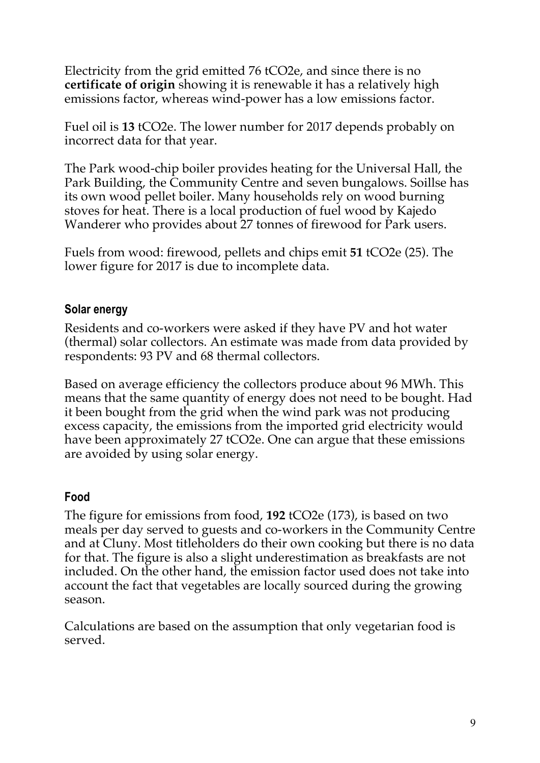Electricity from the grid emitted 76 tCO2e, and since there is no **certificate of origin** showing it is renewable it has a relatively high emissions factor, whereas wind-power has a low emissions factor.

Fuel oil is **13** tCO2e. The lower number for 2017 depends probably on incorrect data for that year.

The Park wood-chip boiler provides heating for the Universal Hall, the Park Building, the Community Centre and seven bungalows. Soillse has its own wood pellet boiler. Many households rely on wood burning stoves for heat. There is a local production of fuel wood by Kajedo Wanderer who provides about 27 tonnes of firewood for Park users.

Fuels from wood: firewood, pellets and chips emit **51** tCO2e (25). The lower figure for 2017 is due to incomplete data.

#### **Solar energy**

Residents and co-workers were asked if they have PV and hot water (thermal) solar collectors. An estimate was made from data provided by respondents: 93 PV and 68 thermal collectors.

Based on average efficiency the collectors produce about 96 MWh. This means that the same quantity of energy does not need to be bought. Had it been bought from the grid when the wind park was not producing excess capacity, the emissions from the imported grid electricity would have been approximately 27 tCO2e. One can argue that these emissions are avoided by using solar energy.

#### **Food**

The figure for emissions from food, **192** tCO2e (173), is based on two meals per day served to guests and co-workers in the Community Centre and at Cluny. Most titleholders do their own cooking but there is no data for that. The figure is also a slight underestimation as breakfasts are not included. On the other hand, the emission factor used does not take into account the fact that vegetables are locally sourced during the growing season.

Calculations are based on the assumption that only vegetarian food is served.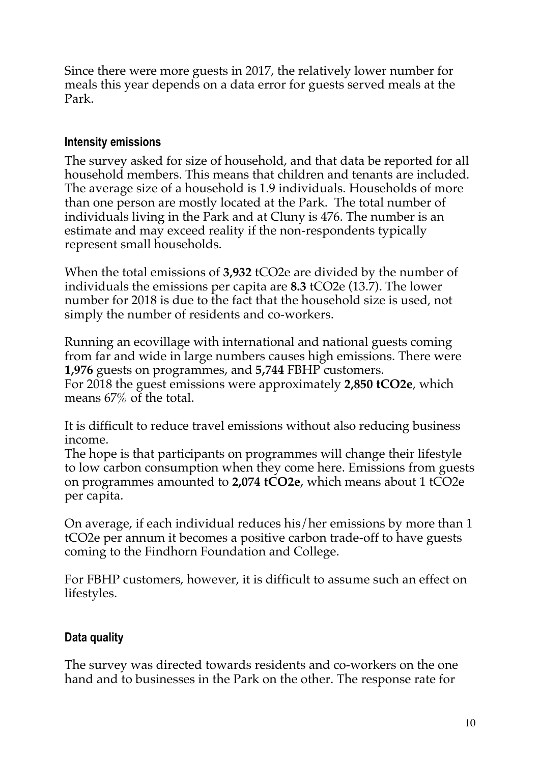Since there were more guests in 2017, the relatively lower number for meals this year depends on a data error for guests served meals at the Park.

#### **Intensity emissions**

The survey asked for size of household, and that data be reported for all household members. This means that children and tenants are included. The average size of a household is 1.9 individuals. Households of more than one person are mostly located at the Park. The total number of individuals living in the Park and at Cluny is 476. The number is an estimate and may exceed reality if the non-respondents typically represent small households.

When the total emissions of **3,932** tCO2e are divided by the number of individuals the emissions per capita are **8.3** tCO2e (13.7). The lower number for 2018 is due to the fact that the household size is used, not simply the number of residents and co-workers.

Running an ecovillage with international and national guests coming from far and wide in large numbers causes high emissions. There were **1,976** guests on programmes, and **5,744** FBHP customers. For 2018 the guest emissions were approximately **2,850 tCO2e**, which means 67% of the total.

It is difficult to reduce travel emissions without also reducing business income.

The hope is that participants on programmes will change their lifestyle to low carbon consumption when they come here. Emissions from guests on programmes amounted to **2,074 tCO2e**, which means about 1 tCO2e per capita.

On average, if each individual reduces his/her emissions by more than 1 tCO2e per annum it becomes a positive carbon trade-off to have guests coming to the Findhorn Foundation and College.

For FBHP customers, however, it is difficult to assume such an effect on lifestyles.

#### **Data quality**

The survey was directed towards residents and co-workers on the one hand and to businesses in the Park on the other. The response rate for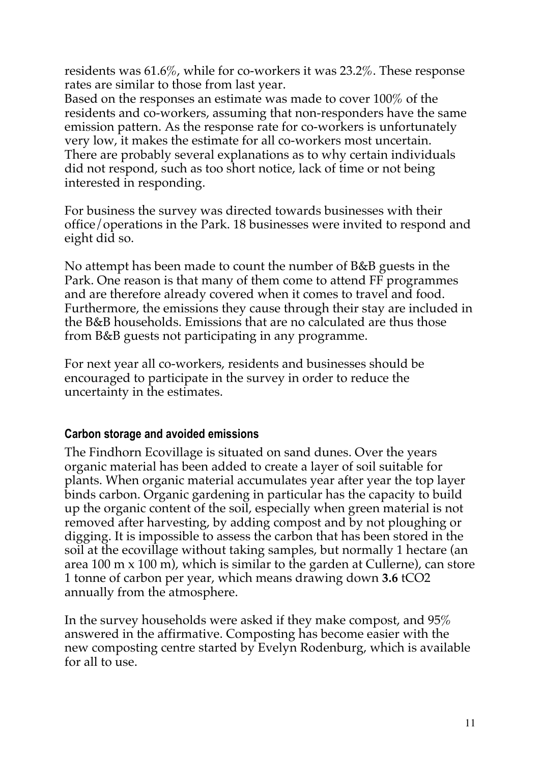residents was 61.6%, while for co-workers it was 23.2%. These response rates are similar to those from last year.

Based on the responses an estimate was made to cover 100% of the residents and co-workers, assuming that non-responders have the same emission pattern. As the response rate for co-workers is unfortunately very low, it makes the estimate for all co-workers most uncertain. There are probably several explanations as to why certain individuals did not respond, such as too short notice, lack of time or not being interested in responding.

For business the survey was directed towards businesses with their office/operations in the Park. 18 businesses were invited to respond and eight did so.

No attempt has been made to count the number of B&B guests in the Park. One reason is that many of them come to attend FF programmes and are therefore already covered when it comes to travel and food. Furthermore, the emissions they cause through their stay are included in the B&B households. Emissions that are no calculated are thus those from B&B guests not participating in any programme.

For next year all co-workers, residents and businesses should be encouraged to participate in the survey in order to reduce the uncertainty in the estimates.

#### **Carbon storage and avoided emissions**

The Findhorn Ecovillage is situated on sand dunes. Over the years organic material has been added to create a layer of soil suitable for plants. When organic material accumulates year after year the top layer binds carbon. Organic gardening in particular has the capacity to build up the organic content of the soil, especially when green material is not removed after harvesting, by adding compost and by not ploughing or digging. It is impossible to assess the carbon that has been stored in the soil at the ecovillage without taking samples, but normally 1 hectare (an area 100 m x 100 m), which is similar to the garden at Cullerne), can store 1 tonne of carbon per year, which means drawing down **3.6** tCO2 annually from the atmosphere.

In the survey households were asked if they make compost, and 95% answered in the affirmative. Composting has become easier with the new composting centre started by Evelyn Rodenburg, which is available for all to use.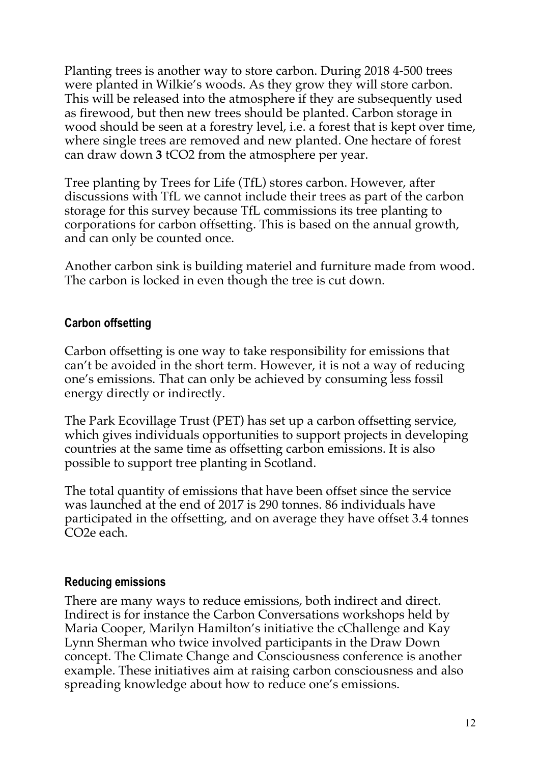Planting trees is another way to store carbon. During 2018 4-500 trees were planted in Wilkie's woods. As they grow they will store carbon. This will be released into the atmosphere if they are subsequently used as firewood, but then new trees should be planted. Carbon storage in wood should be seen at a forestry level, i.e. a forest that is kept over time, where single trees are removed and new planted. One hectare of forest can draw down **3** tCO2 from the atmosphere per year.

Tree planting by Trees for Life (TfL) stores carbon. However, after discussions with TfL we cannot include their trees as part of the carbon storage for this survey because TfL commissions its tree planting to corporations for carbon offsetting. This is based on the annual growth, and can only be counted once.

Another carbon sink is building materiel and furniture made from wood. The carbon is locked in even though the tree is cut down.

#### **Carbon offsetting**

Carbon offsetting is one way to take responsibility for emissions that can't be avoided in the short term. However, it is not a way of reducing one's emissions. That can only be achieved by consuming less fossil energy directly or indirectly.

The Park Ecovillage Trust (PET) has set up a carbon offsetting service, which gives individuals opportunities to support projects in developing countries at the same time as offsetting carbon emissions. It is also possible to support tree planting in Scotland.

The total quantity of emissions that have been offset since the service was launched at the end of 2017 is 290 tonnes. 86 individuals have participated in the offsetting, and on average they have offset 3.4 tonnes CO2e each.

#### **Reducing emissions**

There are many ways to reduce emissions, both indirect and direct. Indirect is for instance the Carbon Conversations workshops held by Maria Cooper, Marilyn Hamilton's initiative the cChallenge and Kay Lynn Sherman who twice involved participants in the Draw Down concept. The Climate Change and Consciousness conference is another example. These initiatives aim at raising carbon consciousness and also spreading knowledge about how to reduce one's emissions.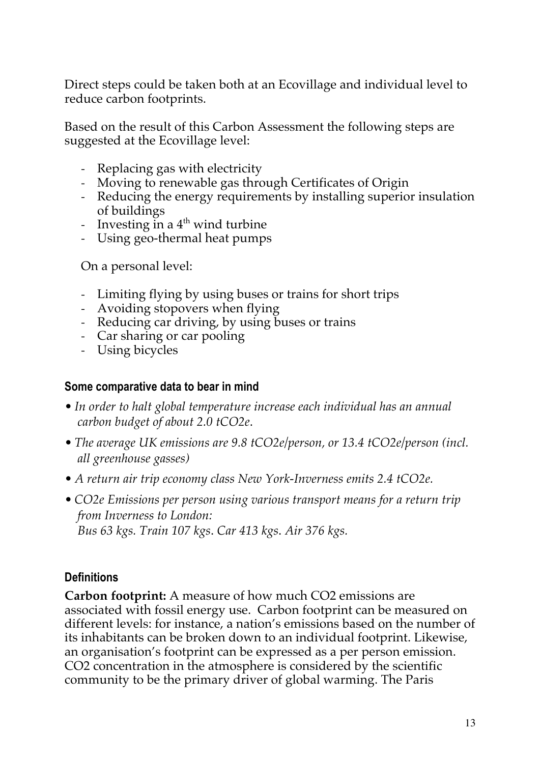Direct steps could be taken both at an Ecovillage and individual level to reduce carbon footprints.

Based on the result of this Carbon Assessment the following steps are suggested at the Ecovillage level:

- Replacing gas with electricity
- Moving to renewable gas through Certificates of Origin
- Reducing the energy requirements by installing superior insulation of buildings
- Investing in a  $4<sup>th</sup>$  wind turbine
- Using geo-thermal heat pumps

On a personal level:

- Limiting flying by using buses or trains for short trips
- Avoiding stopovers when flying
- Reducing car driving, by using buses or trains
- Car sharing or car pooling
- Using bicycles

#### **Some comparative data to bear in mind**

- *In order to halt global temperature increase each individual has an annual carbon budget of about 2.0 tCO2e*.
- *The average UK emissions are 9.8 tCO2e/person, or 13.4 tCO2e/person (incl. all greenhouse gasses)*
- *A return air trip economy class New York-Inverness emits 2.4 tCO2e.*
- *CO2e Emissions per person using various transport means for a return trip from Inverness to London: Bus 63 kgs. Train 107 kgs*. *Car 413 kgs*. *Air 376 kgs.*

#### **Definitions**

**Carbon footprint:** A measure of how much CO2 emissions are associated with fossil energy use. Carbon footprint can be measured on different levels: for instance, a nation's emissions based on the number of its inhabitants can be broken down to an individual footprint. Likewise, an organisation's footprint can be expressed as a per person emission. CO2 concentration in the atmosphere is considered by the scientific community to be the primary driver of global warming. The Paris